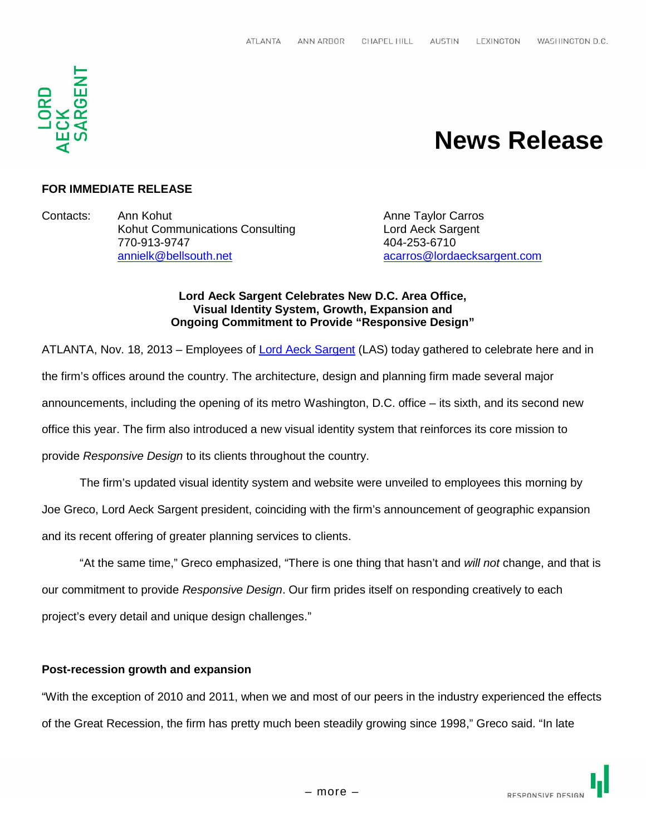

# **News Release**

## **FOR IMMEDIATE RELEASE**

Contacts: Ann Kohut Anne Taylor Carros Kohut Communications Consulting **Lord Aeck Sargent** 770-913-9747 404-253-6710 annielk@bellsouth.net acarros@lordaecksargent.com

#### **Lord Aeck Sargent Celebrates New D.C. Area Office, Visual Identity System, Growth, Expansion and Ongoing Commitment to Provide "Responsive Design"**

ATLANTA, Nov. 18, 2013 – Employees of Lord Aeck Sargent (LAS) today gathered to celebrate here and in the firm's offices around the country. The architecture, design and planning firm made several major announcements, including the opening of its metro Washington, D.C. office – its sixth, and its second new office this year. The firm also introduced a new visual identity system that reinforces its core mission to provide *Responsive Design* to its clients throughout the country.

The firm's updated visual identity system and website were unveiled to employees this morning by Joe Greco, Lord Aeck Sargent president, coinciding with the firm's announcement of geographic expansion and its recent offering of greater planning services to clients.

"At the same time," Greco emphasized, "There is one thing that hasn't and *will not* change, and that is our commitment to provide *Responsive Design*. Our firm prides itself on responding creatively to each project's every detail and unique design challenges."

## **Post-recession growth and expansion**

"With the exception of 2010 and 2011, when we and most of our peers in the industry experienced the effects of the Great Recession, the firm has pretty much been steadily growing since 1998," Greco said. "In late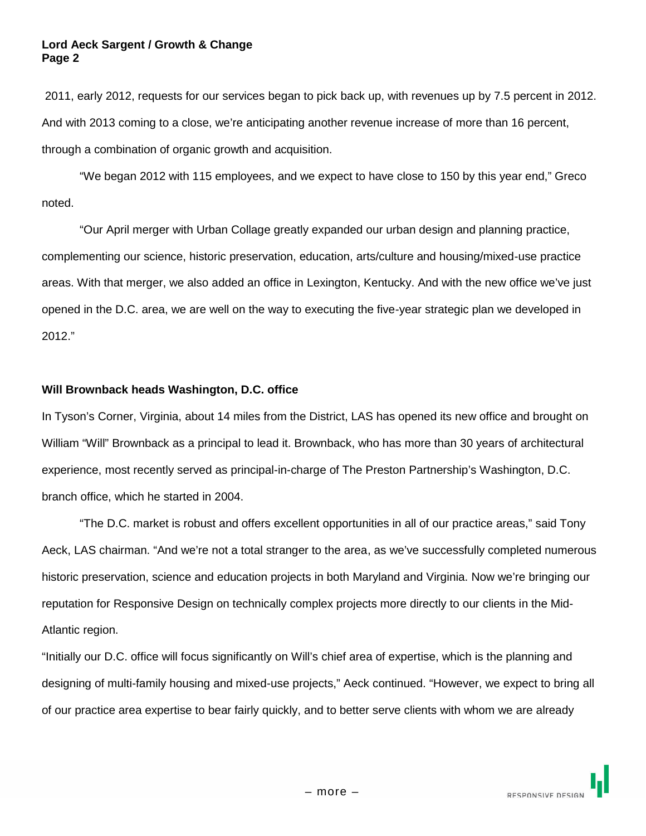#### **Lord Aeck Sargent / Growth & Change Page 2**

2011, early 2012, requests for our services began to pick back up, with revenues up by 7.5 percent in 2012. And with 2013 coming to a close, we're anticipating another revenue increase of more than 16 percent, through a combination of organic growth and acquisition.

"We began 2012 with 115 employees, and we expect to have close to 150 by this year end," Greco noted.

"Our April merger with Urban Collage greatly expanded our urban design and planning practice, complementing our science, historic preservation, education, arts/culture and housing/mixed-use practice areas. With that merger, we also added an office in Lexington, Kentucky. And with the new office we've just opened in the D.C. area, we are well on the way to executing the five-year strategic plan we developed in 2012."

## **Will Brownback heads Washington, D.C. office**

In Tyson's Corner, Virginia, about 14 miles from the District, LAS has opened its new office and brought on William "Will" Brownback as a principal to lead it. Brownback, who has more than 30 years of architectural experience, most recently served as principal-in-charge of The Preston Partnership's Washington, D.C. branch office, which he started in 2004.

"The D.C. market is robust and offers excellent opportunities in all of our practice areas," said Tony Aeck, LAS chairman. "And we're not a total stranger to the area, as we've successfully completed numerous historic preservation, science and education projects in both Maryland and Virginia. Now we're bringing our reputation for Responsive Design on technically complex projects more directly to our clients in the Mid-Atlantic region.

"Initially our D.C. office will focus significantly on Will's chief area of expertise, which is the planning and designing of multi-family housing and mixed-use projects," Aeck continued. "However, we expect to bring all of our practice area expertise to bear fairly quickly, and to better serve clients with whom we are already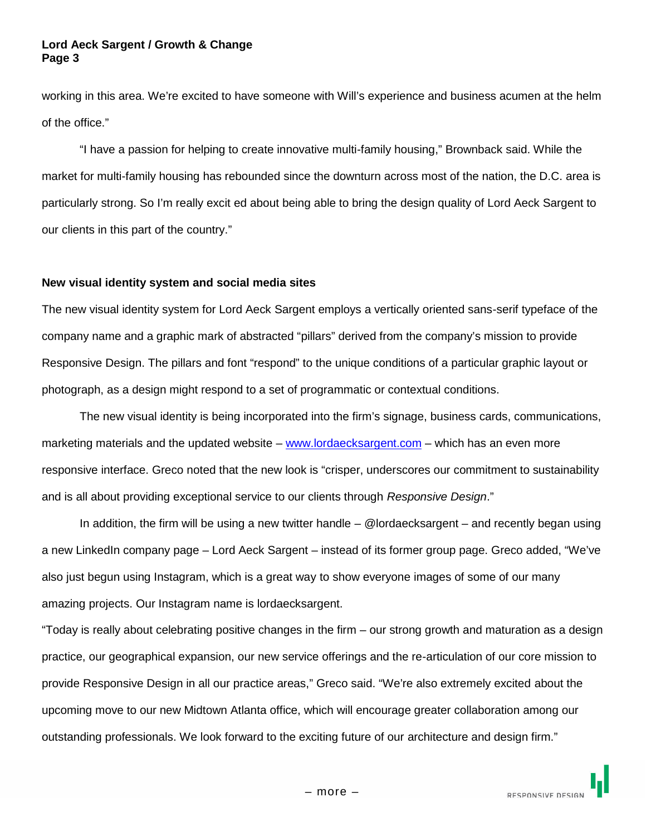#### **Lord Aeck Sargent / Growth & Change Page 3**

working in this area. We're excited to have someone with Will's experience and business acumen at the helm of the office."

"I have a passion for helping to create innovative multi-family housing," Brownback said. While the market for multi-family housing has rebounded since the downturn across most of the nation, the D.C. area is particularly strong. So I'm really excit ed about being able to bring the design quality of Lord Aeck Sargent to our clients in this part of the country."

#### **New visual identity system and social media sites**

The new visual identity system for Lord Aeck Sargent employs a vertically oriented sans-serif typeface of the company name and a graphic mark of abstracted "pillars" derived from the company's mission to provide Responsive Design. The pillars and font "respond" to the unique conditions of a particular graphic layout or photograph, as a design might respond to a set of programmatic or contextual conditions.

The new visual identity is being incorporated into the firm's signage, business cards, communications, marketing materials and the updated website – www.lordaecksargent.com – which has an even more responsive interface. Greco noted that the new look is "crisper, underscores our commitment to sustainability and is all about providing exceptional service to our clients through *Responsive Design*."

In addition, the firm will be using a new twitter handle – @lordaecksargent – and recently began using a new LinkedIn company page – Lord Aeck Sargent – instead of its former group page. Greco added, "We've also just begun using Instagram, which is a great way to show everyone images of some of our many amazing projects. Our Instagram name is lordaecksargent.

"Today is really about celebrating positive changes in the firm – our strong growth and maturation as a design practice, our geographical expansion, our new service offerings and the re-articulation of our core mission to provide Responsive Design in all our practice areas," Greco said. "We're also extremely excited about the upcoming move to our new Midtown Atlanta office, which will encourage greater collaboration among our outstanding professionals. We look forward to the exciting future of our architecture and design firm."